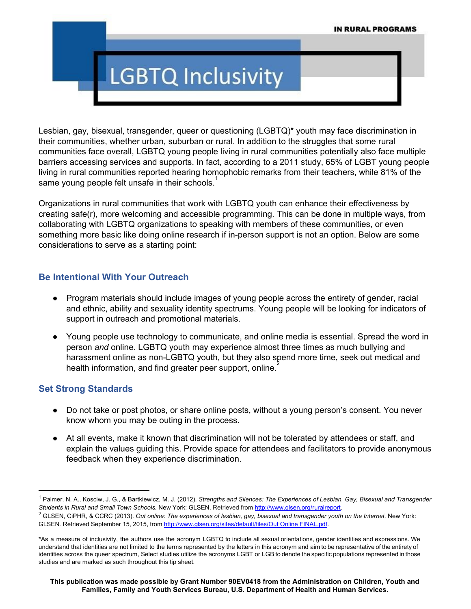# **LGBTQ Inclusivity**

Lesbian, gay, bisexual, transgender, queer or questioning (LGBTQ)\* youth may face discrimination in their communities, whether urban, suburban or rural. In addition to the struggles that some rural communities face overall, LGBTQ young people living in rural communities potentially also face multiple barriers accessing services and supports. In fact, according to a 2011 study, 65% of LGBT young people living in rural communities reported hearing homophobic remarks from their teachers, while 81% of the same young people felt unsafe in their schools.<sup>1</sup>

Organizations in rural communities that work with LGBTQ youth can enhance their effectiveness by creating safe(r), more welcoming and accessible programming. This can be done in multiple ways, from collaborating with LGBTQ organizations to speaking with members of these communities, or even something more basic like doing online research if in-person support is not an option. Below are some considerations to serve as a starting point:

#### **Be Intentional With Your Outreach**

- Program materials should include images of young people across the entirety of gender, racial and ethnic, ability and sexuality identity spectrums. Young people will be looking for indicators of support in outreach and promotional materials.
- Young people use technology to communicate, and online media is essential. Spread the word in person *and* online. LGBTQ youth may experience almost three times as much bullying and harassment online as non-LGBTQ youth, but they also spend more time, seek out medical and health information, and find greater peer support, online.<sup>2</sup>

## **Set Strong Standards**

- Do not take or post photos, or share online posts, without a young person's consent. You never know whom you may be outing in the process.
- At all events, make it known that discrimination will not be tolerated by attendees or staff, and explain the values guiding this. Provide space for attendees and facilitators to provide anonymous feedback when they experience discrimination.

<sup>1</sup> Palmer, N. A., Kosciw, J. G., & Bartkiewicz, M. J. (2012). *Strengths and Silences: The Experiences of Lesbian, Gay, Bisexual and Transgender Students in Rural and Small Town Schools.* New York: GLSEN. Retrieved from [http://www.glsen.org/ruralreport.](http://www.glsen.org/ruralreport)

 $^2$  GLSEN, CiPHR, & CCRC (2013). Out online: The experiences of lesbian, gay, bisexual and transgender youth on the Internet. New York: GLSEN. Retrieved September 15, 2015, from [http://www.glsen.org/sites/default/files/Out](http://www.glsen.org/sites/default/files/Out%20Online%20FINAL.pdf) Online FINAL.pdf.

**<sup>\*</sup>**As a measure of inclusivity, the authors use the acronym LGBTQ to include all sexual orientations, gender identities and expressions. We understand that identities are not limited to the terms represented by the letters in this acronym and aim to be representative of the entirety of identities across the queer spectrum, Select studies utilize the acronyms LGBT or LGB to denote the specific populations represented in those studies and are marked as such throughout this tip sheet.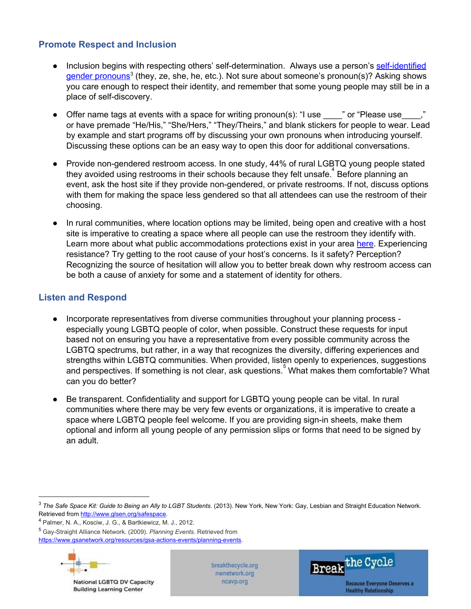### **Promote Respect and Inclusion**

- Inclusion begins with respecting others' self-determination. Always use a person's self-identified gender [pronouns](https://forge-forward.org/2015/01/faq-pronouns/)<sup>3</sup> (they, ze, she, he, etc.). Not sure about someone's pronoun(s)? Asking shows you care enough to respect their identity, and remember that some young people may still be in a place of self-discovery.
- Offer name tags at events with a space for writing pronoun(s): "I use we " or "Please use or have premade "He/His," "She/Hers," "They/Theirs," and blank stickers for people to wear. Lead by example and start programs off by discussing your own pronouns when introducing yourself. Discussing these options can be an easy way to open this door for additional conversations.
- Provide non-gendered restroom access. In one study, 44% of rural LGBTQ young people stated they avoided using restrooms in their schools because they felt unsafe.<sup>4</sup> Before planning an event, ask the host site if they provide non-gendered, or private restrooms. If not, discuss options with them for making the space less gendered so that all attendees can use the restroom of their choosing.
- In rural communities, where location options may be limited, being open and creative with a host site is imperative to creating a space where all people can use the restroom they identify with. Learn more about what public accommodations protections exist in your area [here.](http://www.lgbtmap.org/equality-maps/non_discrimination_laws) Experiencing resistance? Try getting to the root cause of your host's concerns. Is it safety? Perception? Recognizing the source of hesitation will allow you to better break down why restroom access can be both a cause of anxiety for some and a statement of identity for others.

### **Listen and Respond**

- Incorporate representatives from diverse communities throughout your planning process especially young LGBTQ people of color, when possible. Construct these requests for input based not on ensuring you have a representative from every possible community across the LGBTQ spectrums, but rather, in a way that recognizes the diversity, differing experiences and strengths within LGBTQ communities. When provided, listen openly to experiences, suggestions and perspectives. If something is not clear, ask questions. What makes them comfortable? What can you do better?
- Be transparent. Confidentiality and support for LGBTQ young people can be vital. In rural communities where there may be very few events or organizations, it is imperative to create a space where LGBTQ people feel welcome. If you are providing sign-in sheets, make them optional and inform all young people of any permission slips or forms that need to be signed by an adult.

<sup>&</sup>lt;sup>5</sup> Gay-Straight Alliance Network. (2009). *Planning Events*. Retrieved fro[m](https://www.gsanetwork.org/resources/gsa-actions-events/planning-events) https://www.gsanetwork.org/resources/gsa-actions-events/planning-events.



National LGBTQ DV Capacity **Building Learning Center** 

breakthecycle.org nwnetwork.org ncavp.org



<sup>3</sup> *The Safe Space Kit: Guide to Being an Ally to LGBT Students*. (2013). New York, New York: Gay, Lesbian and Straight Education Network. Retrieved fro[m](http://www.glsen.org/safespace) [http://www.glsen.org/safespace.](http://www.glsen.org/safespace)

<sup>4</sup> Palmer, N. A., Kosciw, J. G., & Bartkiewicz, M. J., 2012.